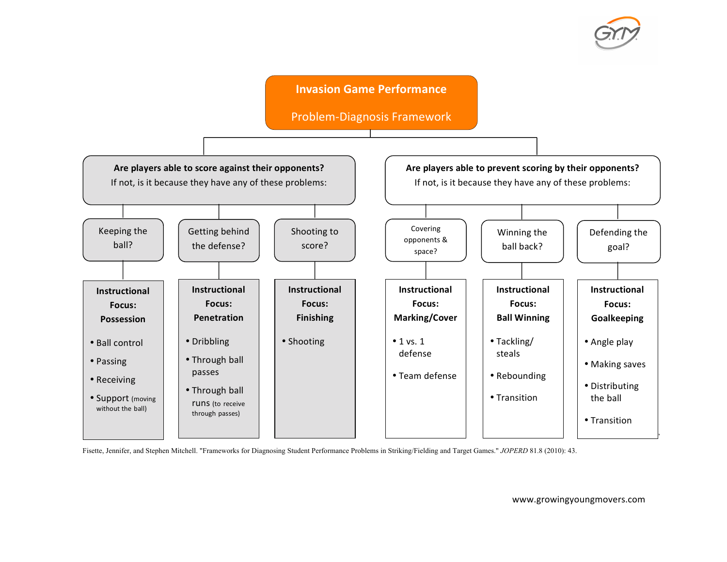

## **Invasion Game Performance**

Problem-Diagnosis Framework



Fisette, Jennifer, and Stephen Mitchell. "Frameworks for Diagnosing Student Performance Problems in Striking/Fielding and Target Games." *JOPERD* 81.8 (2010): 43.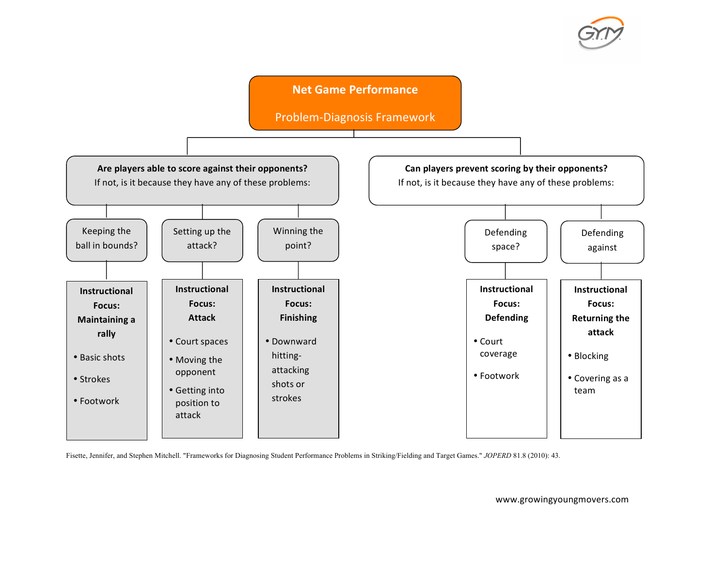

## **Net Game Performance**

Problem-Diagnosis Framework



Fisette, Jennifer, and Stephen Mitchell. "Frameworks for Diagnosing Student Performance Problems in Striking/Fielding and Target Games." *JOPERD* 81.8 (2010): 43.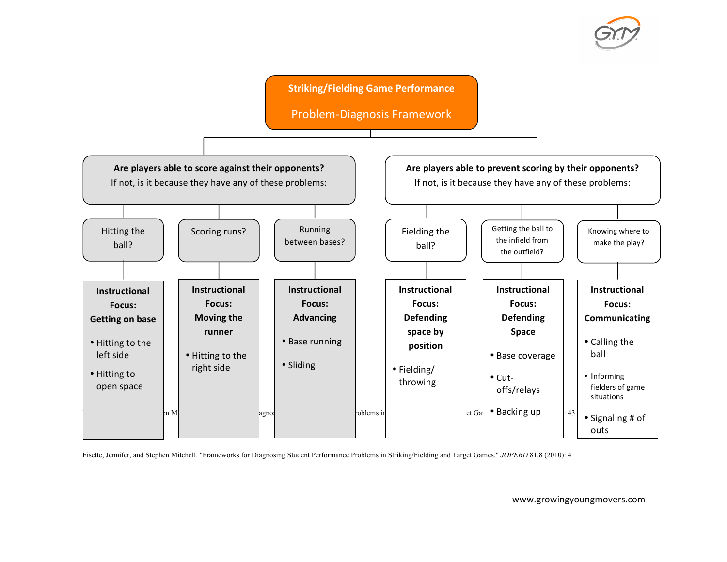

**Striking/Fielding Game Performance** 

Problem-Diagnosis Framework



Fisette, Jennifer, and Stephen Mitchell. "Frameworks for Diagnosing Student Performance Problems in Striking/Fielding and Target Games." *JOPERD* 81.8 (2010): 4